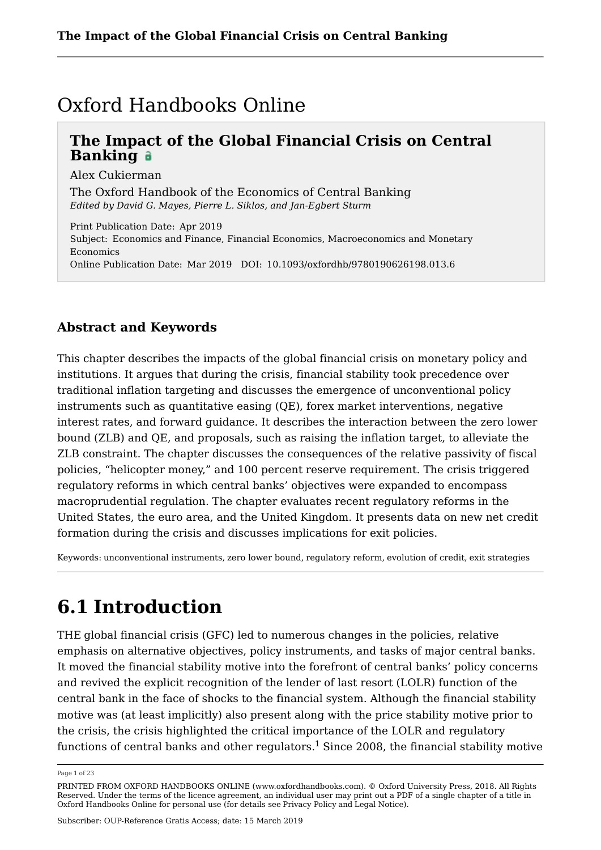## Oxford Handbooks Online

## **The Impact of the Global Financial Crisis on Central Banking**

Alex Cukierman

The Oxford Handbook of the Economics of Central Banking *Edited by David G. Mayes, Pierre L. Siklos, and Jan-Egbert Sturm*

Print Publication Date: Apr 2019 Subject: Economics and Finance, Financial Economics, Macroeconomics and Monetary Economics Online Publication Date: Mar 2019 DOI: 10.1093/oxfordhb/9780190626198.013.6

## **Abstract and Keywords**

This chapter describes the impacts of the global financial crisis on monetary policy and institutions. It argues that during the crisis, financial stability took precedence over traditional inflation targeting and discusses the emergence of unconventional policy instruments such as quantitative easing (QE), forex market interventions, negative interest rates, and forward guidance. It describes the interaction between the zero lower bound (ZLB) and QE, and proposals, such as raising the inflation target, to alleviate the ZLB constraint. The chapter discusses the consequences of the relative passivity of fiscal policies, "helicopter money," and 100 percent reserve requirement. The crisis triggered regulatory reforms in which central banks' objectives were expanded to encompass macroprudential regulation. The chapter evaluates recent regulatory reforms in the United States, the euro area, and the United Kingdom. It presents data on new net credit formation during the crisis and discusses implications for exit policies.

Keywords: unconventional instruments, zero lower bound, regulatory reform, evolution of credit, exit strategies

# **6.1 Introduction**

THE global financial crisis (GFC) led to numerous changes in the policies, relative emphasis on alternative objectives, policy instruments, and tasks of major central banks. It moved the financial stability motive into the forefront of central banks' policy concerns and revived the explicit recognition of the lender of last resort (LOLR) function of the central bank in the face of shocks to the financial system. Although the financial stability motive was (at least implicitly) also present along with the price stability motive prior to the crisis, the crisis highlighted the critical importance of the LOLR and regulatory functions of central banks and other regulators.<sup>1</sup> Since 2008, the financial stability motive

Page 1 of 23

PRINTED FROM OXFORD HANDBOOKS ONLINE (www.oxfordhandbooks.com). © Oxford University Press, 2018. All Rights Reserved. Under the terms of the licence agreement, an individual user may print out a PDF of a single chapter of a title in Oxford Handbooks Online for personal use (for details see Privacy Policy and Legal Notice).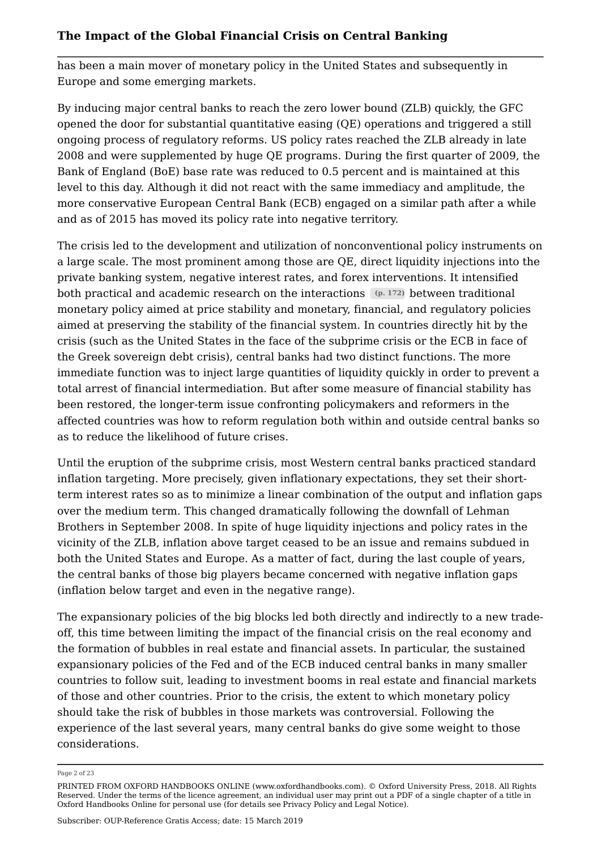has been a main mover of monetary policy in the United States and subsequently in Europe and some emerging markets.

By inducing major central banks to reach the zero lower bound (ZLB) quickly, the GFC opened the door for substantial quantitative easing (QE) operations and triggered a still ongoing process of regulatory reforms. US policy rates reached the ZLB already in late 2008 and were supplemented by huge QE programs. During the first quarter of 2009, the Bank of England (BoE) base rate was reduced to 0.5 percent and is maintained at this level to this day. Although it did not react with the same immediacy and amplitude, the more conservative European Central Bank (ECB) engaged on a similar path after a while and as of 2015 has moved its policy rate into negative territory.

The crisis led to the development and utilization of nonconventional policy instruments on a large scale. The most prominent among those are QE, direct liquidity injections into the private banking system, negative interest rates, and forex interventions. It intensified both practical and academic research on the interactions **(p. 172)** between traditional monetary policy aimed at price stability and monetary, financial, and regulatory policies aimed at preserving the stability of the financial system. In countries directly hit by the crisis (such as the United States in the face of the subprime crisis or the ECB in face of the Greek sovereign debt crisis), central banks had two distinct functions. The more immediate function was to inject large quantities of liquidity quickly in order to prevent a total arrest of financial intermediation. But after some measure of financial stability has been restored, the longer-term issue confronting policymakers and reformers in the affected countries was how to reform regulation both within and outside central banks so as to reduce the likelihood of future crises.

Until the eruption of the subprime crisis, most Western central banks practiced standard inflation targeting. More precisely, given inflationary expectations, they set their shortterm interest rates so as to minimize a linear combination of the output and inflation gaps over the medium term. This changed dramatically following the downfall of Lehman Brothers in September 2008. In spite of huge liquidity injections and policy rates in the vicinity of the ZLB, inflation above target ceased to be an issue and remains subdued in both the United States and Europe. As a matter of fact, during the last couple of years, the central banks of those big players became concerned with negative inflation gaps (inflation below target and even in the negative range).

The expansionary policies of the big blocks led both directly and indirectly to a new tradeoff, this time between limiting the impact of the financial crisis on the real economy and the formation of bubbles in real estate and financial assets. In particular, the sustained expansionary policies of the Fed and of the ECB induced central banks in many smaller countries to follow suit, leading to investment booms in real estate and financial markets of those and other countries. Prior to the crisis, the extent to which monetary policy should take the risk of bubbles in those markets was controversial. Following the experience of the last several years, many central banks do give some weight to those considerations.

Page 2 of 23

PRINTED FROM OXFORD HANDBOOKS ONLINE (www.oxfordhandbooks.com). © Oxford University Press, 2018. All Rights Reserved. Under the terms of the licence agreement, an individual user may print out a PDF of a single chapter of a title in Oxford Handbooks Online for personal use (for details see Privacy Policy and Legal Notice).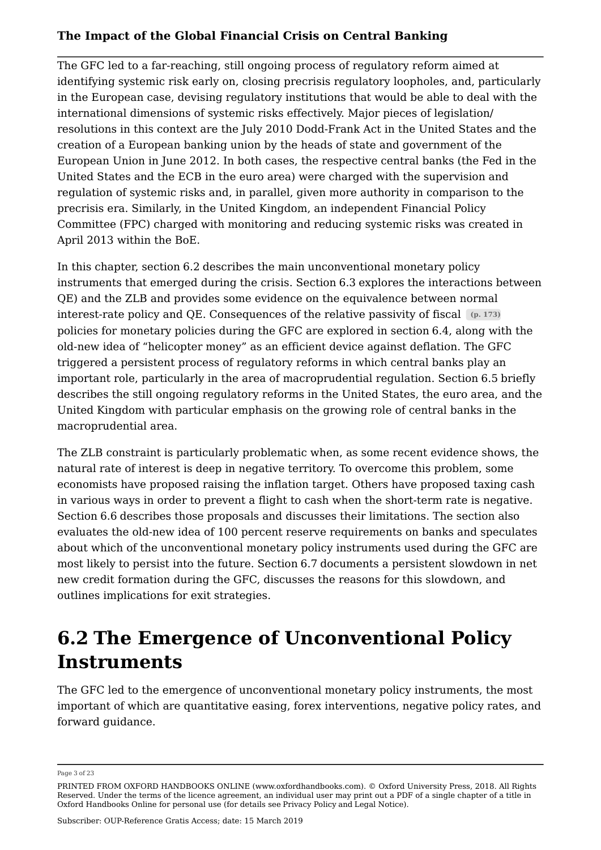The GFC led to a far-reaching, still ongoing process of regulatory reform aimed at identifying systemic risk early on, closing precrisis regulatory loopholes, and, particularly in the European case, devising regulatory institutions that would be able to deal with the international dimensions of systemic risks effectively. Major pieces of legislation/ resolutions in this context are the July 2010 Dodd-Frank Act in the United States and the creation of a European banking union by the heads of state and government of the European Union in June 2012. In both cases, the respective central banks (the Fed in the United States and the ECB in the euro area) were charged with the supervision and regulation of systemic risks and, in parallel, given more authority in comparison to the precrisis era. Similarly, in the United Kingdom, an independent Financial Policy Committee (FPC) charged with monitoring and reducing systemic risks was created in April 2013 within the BoE.

In this chapter, section 6.2 describes the main unconventional monetary policy instruments that emerged during the crisis. Section 6.3 explores the interactions between QE) and the ZLB and provides some evidence on the equivalence between normal interest-rate policy and QE. Consequences of the relative passivity of fiscal **(p. 173)** policies for monetary policies during the GFC are explored in section 6.4, along with the old-new idea of "helicopter money" as an efficient device against deflation. The GFC triggered a persistent process of regulatory reforms in which central banks play an important role, particularly in the area of macroprudential regulation. Section 6.5 briefly describes the still ongoing regulatory reforms in the United States, the euro area, and the United Kingdom with particular emphasis on the growing role of central banks in the macroprudential area.

The ZLB constraint is particularly problematic when, as some recent evidence shows, the natural rate of interest is deep in negative territory. To overcome this problem, some economists have proposed raising the inflation target. Others have proposed taxing cash in various ways in order to prevent a flight to cash when the short-term rate is negative. Section 6.6 describes those proposals and discusses their limitations. The section also evaluates the old-new idea of 100 percent reserve requirements on banks and speculates about which of the unconventional monetary policy instruments used during the GFC are most likely to persist into the future. Section 6.7 documents a persistent slowdown in net new credit formation during the GFC, discusses the reasons for this slowdown, and outlines implications for exit strategies.

## **6.2 The Emergence of Unconventional Policy Instruments**

The GFC led to the emergence of unconventional monetary policy instruments, the most important of which are quantitative easing, forex interventions, negative policy rates, and forward guidance.

Page 3 of 23

PRINTED FROM OXFORD HANDBOOKS ONLINE (www.oxfordhandbooks.com). © Oxford University Press, 2018. All Rights Reserved. Under the terms of the licence agreement, an individual user may print out a PDF of a single chapter of a title in Oxford Handbooks Online for personal use (for details see Privacy Policy and Legal Notice).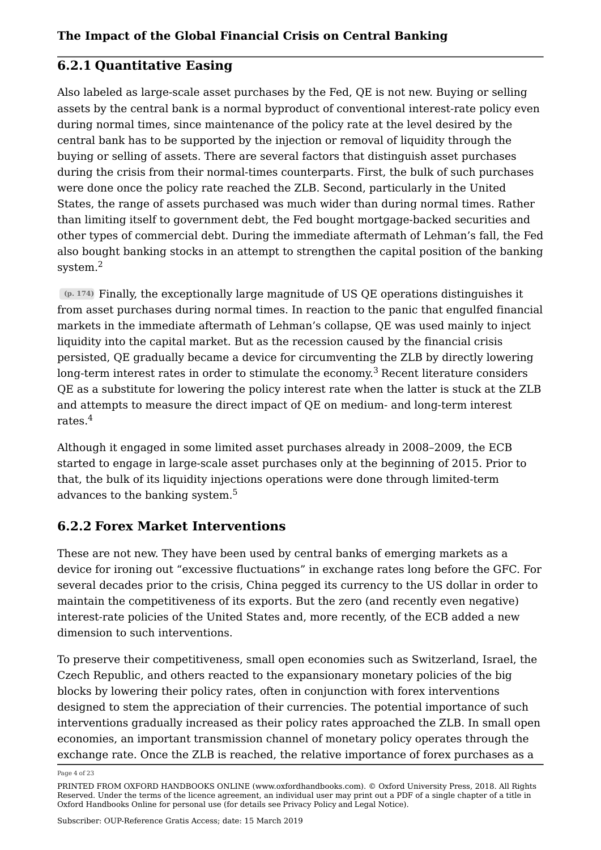### **6.2.1 Quantitative Easing**

Also labeled as large-scale asset purchases by the Fed, QE is not new. Buying or selling assets by the central bank is a normal byproduct of conventional interest-rate policy even during normal times, since maintenance of the policy rate at the level desired by the central bank has to be supported by the injection or removal of liquidity through the buying or selling of assets. There are several factors that distinguish asset purchases during the crisis from their normal-times counterparts. First, the bulk of such purchases were done once the policy rate reached the ZLB. Second, particularly in the United States, the range of assets purchased was much wider than during normal times. Rather than limiting itself to government debt, the Fed bought mortgage-backed securities and other types of commercial debt. During the immediate aftermath of Lehman's fall, the Fed also bought banking stocks in an attempt to strengthen the capital position of the banking system.<sup>2</sup>

**(p. 174)** Finally, the exceptionally large magnitude of US QE operations distinguishes it from asset purchases during normal times. In reaction to the panic that engulfed financial markets in the immediate aftermath of Lehman's collapse, QE was used mainly to inject liquidity into the capital market. But as the recession caused by the financial crisis persisted, QE gradually became a device for circumventing the ZLB by directly lowering long-term interest rates in order to stimulate the economy.<sup>3</sup> Recent literature considers QE as a substitute for lowering the policy interest rate when the latter is stuck at the ZLB and attempts to measure the direct impact of QE on medium- and long-term interest rates.<sup>4</sup>

Although it engaged in some limited asset purchases already in 2008–2009, the ECB started to engage in large-scale asset purchases only at the beginning of 2015. Prior to that, the bulk of its liquidity injections operations were done through limited-term advances to the banking system.<sup>5</sup>

## **6.2.2 Forex Market Interventions**

These are not new. They have been used by central banks of emerging markets as a device for ironing out "excessive fluctuations" in exchange rates long before the GFC. For several decades prior to the crisis, China pegged its currency to the US dollar in order to maintain the competitiveness of its exports. But the zero (and recently even negative) interest-rate policies of the United States and, more recently, of the ECB added a new dimension to such interventions.

To preserve their competitiveness, small open economies such as Switzerland, Israel, the Czech Republic, and others reacted to the expansionary monetary policies of the big blocks by lowering their policy rates, often in conjunction with forex interventions designed to stem the appreciation of their currencies. The potential importance of such interventions gradually increased as their policy rates approached the ZLB. In small open economies, an important transmission channel of monetary policy operates through the exchange rate. Once the ZLB is reached, the relative importance of forex purchases as a

Page 4 of 23

PRINTED FROM OXFORD HANDBOOKS ONLINE (www.oxfordhandbooks.com). © Oxford University Press, 2018. All Rights Reserved. Under the terms of the licence agreement, an individual user may print out a PDF of a single chapter of a title in Oxford Handbooks Online for personal use (for details see Privacy Policy and Legal Notice).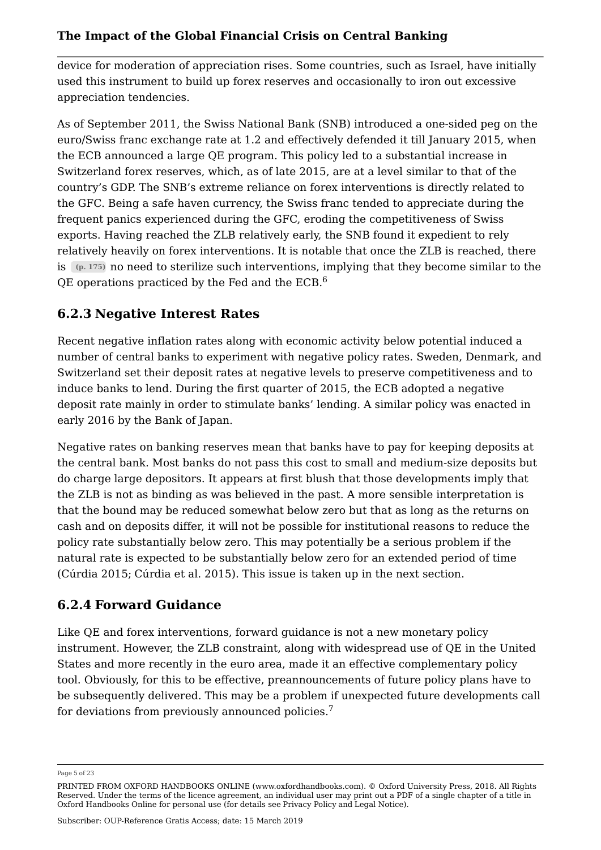device for moderation of appreciation rises. Some countries, such as Israel, have initially used this instrument to build up forex reserves and occasionally to iron out excessive appreciation tendencies.

As of September 2011, the Swiss National Bank (SNB) introduced a one-sided peg on the euro/Swiss franc exchange rate at 1.2 and effectively defended it till January 2015, when the ECB announced a large QE program. This policy led to a substantial increase in Switzerland forex reserves, which, as of late 2015, are at a level similar to that of the country's GDP. The SNB's extreme reliance on forex interventions is directly related to the GFC. Being a safe haven currency, the Swiss franc tended to appreciate during the frequent panics experienced during the GFC, eroding the competitiveness of Swiss exports. Having reached the ZLB relatively early, the SNB found it expedient to rely relatively heavily on forex interventions. It is notable that once the ZLB is reached, there is **(p. 175)** no need to sterilize such interventions, implying that they become similar to the QE operations practiced by the Fed and the ECB.<sup>6</sup>

## **6.2.3 Negative Interest Rates**

Recent negative inflation rates along with economic activity below potential induced a number of central banks to experiment with negative policy rates. Sweden, Denmark, and Switzerland set their deposit rates at negative levels to preserve competitiveness and to induce banks to lend. During the first quarter of 2015, the ECB adopted a negative deposit rate mainly in order to stimulate banks' lending. A similar policy was enacted in early 2016 by the Bank of Japan.

Negative rates on banking reserves mean that banks have to pay for keeping deposits at the central bank. Most banks do not pass this cost to small and medium-size deposits but do charge large depositors. It appears at first blush that those developments imply that the ZLB is not as binding as was believed in the past. A more sensible interpretation is that the bound may be reduced somewhat below zero but that as long as the returns on cash and on deposits differ, it will not be possible for institutional reasons to reduce the policy rate substantially below zero. This may potentially be a serious problem if the natural rate is expected to be substantially below zero for an extended period of time (Cúrdia 2015; Cúrdia et al. 2015). This issue is taken up in the next section.

## **6.2.4 Forward Guidance**

Like QE and forex interventions, forward guidance is not a new monetary policy instrument. However, the ZLB constraint, along with widespread use of QE in the United States and more recently in the euro area, made it an effective complementary policy tool. Obviously, for this to be effective, preannouncements of future policy plans have to be subsequently delivered. This may be a problem if unexpected future developments call for deviations from previously announced policies.<sup>7</sup>

Page 5 of 23

PRINTED FROM OXFORD HANDBOOKS ONLINE (www.oxfordhandbooks.com). © Oxford University Press, 2018. All Rights Reserved. Under the terms of the licence agreement, an individual user may print out a PDF of a single chapter of a title in Oxford Handbooks Online for personal use (for details see Privacy Policy and Legal Notice).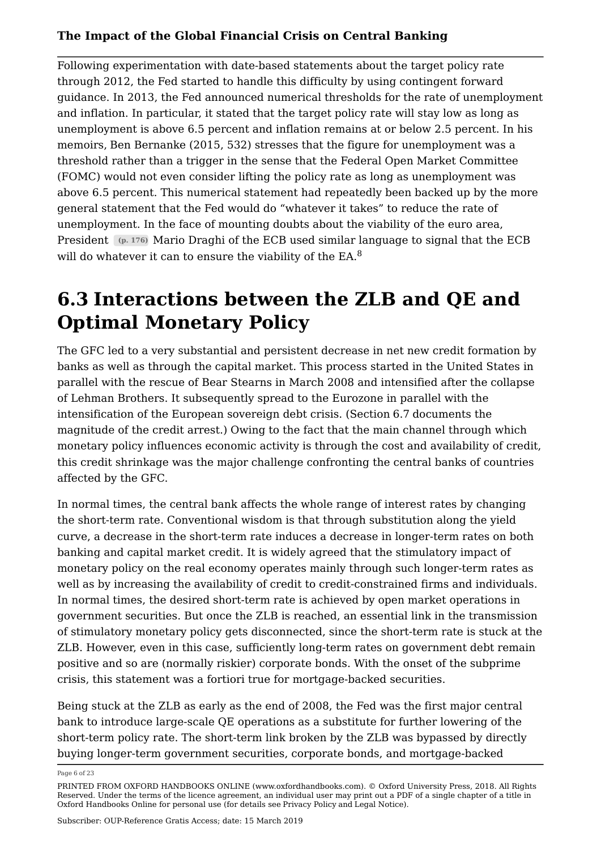Following experimentation with date-based statements about the target policy rate through 2012, the Fed started to handle this difficulty by using contingent forward guidance. In 2013, the Fed announced numerical thresholds for the rate of unemployment and inflation. In particular, it stated that the target policy rate will stay low as long as unemployment is above 6.5 percent and inflation remains at or below 2.5 percent. In his memoirs, Ben Bernanke (2015, 532) stresses that the figure for unemployment was a threshold rather than a trigger in the sense that the Federal Open Market Committee (FOMC) would not even consider lifting the policy rate as long as unemployment was above 6.5 percent. This numerical statement had repeatedly been backed up by the more general statement that the Fed would do "whatever it takes" to reduce the rate of unemployment. In the face of mounting doubts about the viability of the euro area, President **(p. 176)** Mario Draghi of the ECB used similar language to signal that the ECB will do whatever it can to ensure the viability of the EA.<sup>8</sup>

## **6.3 Interactions between the ZLB and QE and Optimal Monetary Policy**

The GFC led to a very substantial and persistent decrease in net new credit formation by banks as well as through the capital market. This process started in the United States in parallel with the rescue of Bear Stearns in March 2008 and intensified after the collapse of Lehman Brothers. It subsequently spread to the Eurozone in parallel with the intensification of the European sovereign debt crisis. (Section 6.7 documents the magnitude of the credit arrest.) Owing to the fact that the main channel through which monetary policy influences economic activity is through the cost and availability of credit, this credit shrinkage was the major challenge confronting the central banks of countries affected by the GFC.

In normal times, the central bank affects the whole range of interest rates by changing the short-term rate. Conventional wisdom is that through substitution along the yield curve, a decrease in the short-term rate induces a decrease in longer-term rates on both banking and capital market credit. It is widely agreed that the stimulatory impact of monetary policy on the real economy operates mainly through such longer-term rates as well as by increasing the availability of credit to credit-constrained firms and individuals. In normal times, the desired short-term rate is achieved by open market operations in government securities. But once the ZLB is reached, an essential link in the transmission of stimulatory monetary policy gets disconnected, since the short-term rate is stuck at the ZLB. However, even in this case, sufficiently long-term rates on government debt remain positive and so are (normally riskier) corporate bonds. With the onset of the subprime crisis, this statement was a fortiori true for mortgage-backed securities.

Being stuck at the ZLB as early as the end of 2008, the Fed was the first major central bank to introduce large-scale QE operations as a substitute for further lowering of the short-term policy rate. The short-term link broken by the ZLB was bypassed by directly buying longer-term government securities, corporate bonds, and mortgage-backed

Page 6 of 23

PRINTED FROM OXFORD HANDBOOKS ONLINE (www.oxfordhandbooks.com). © Oxford University Press, 2018. All Rights Reserved. Under the terms of the licence agreement, an individual user may print out a PDF of a single chapter of a title in Oxford Handbooks Online for personal use (for details see Privacy Policy and Legal Notice).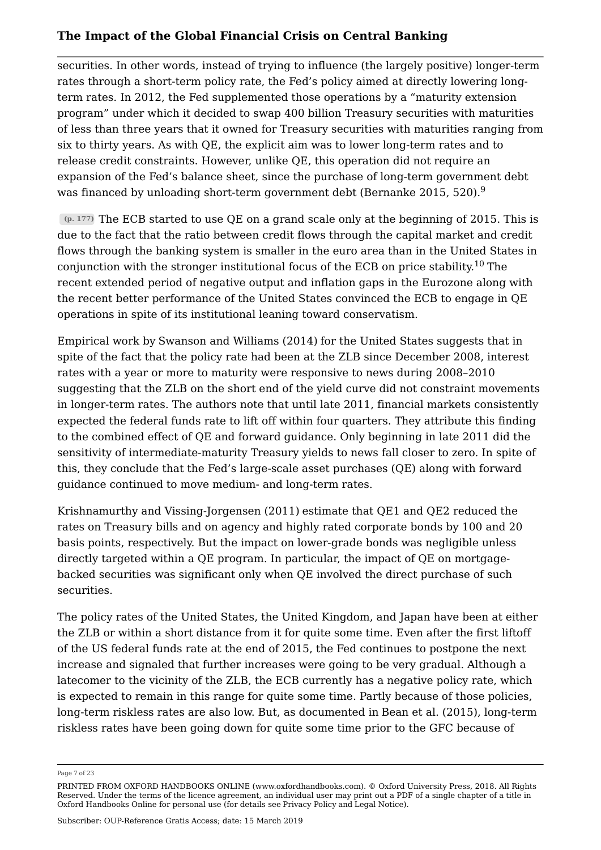securities. In other words, instead of trying to influence (the largely positive) longer-term rates through a short-term policy rate, the Fed's policy aimed at directly lowering longterm rates. In 2012, the Fed supplemented those operations by a "maturity extension program" under which it decided to swap 400 billion Treasury securities with maturities of less than three years that it owned for Treasury securities with maturities ranging from six to thirty years. As with QE, the explicit aim was to lower long-term rates and to release credit constraints. However, unlike QE, this operation did not require an expansion of the Fed's balance sheet, since the purchase of long-term government debt was financed by unloading short-term government debt (Bernanke 2015, 520).<sup>9</sup>

**(p. 177)** The ECB started to use QE on a grand scale only at the beginning of 2015. This is due to the fact that the ratio between credit flows through the capital market and credit flows through the banking system is smaller in the euro area than in the United States in conjunction with the stronger institutional focus of the ECB on price stability.<sup>10</sup> The recent extended period of negative output and inflation gaps in the Eurozone along with the recent better performance of the United States convinced the ECB to engage in QE operations in spite of its institutional leaning toward conservatism.

Empirical work by Swanson and Williams (2014) for the United States suggests that in spite of the fact that the policy rate had been at the ZLB since December 2008, interest rates with a year or more to maturity were responsive to news during 2008–2010 suggesting that the ZLB on the short end of the yield curve did not constraint movements in longer-term rates. The authors note that until late 2011, financial markets consistently expected the federal funds rate to lift off within four quarters. They attribute this finding to the combined effect of QE and forward guidance. Only beginning in late 2011 did the sensitivity of intermediate-maturity Treasury yields to news fall closer to zero. In spite of this, they conclude that the Fed's large-scale asset purchases (QE) along with forward guidance continued to move medium- and long-term rates.

Krishnamurthy and Vissing-Jorgensen (2011) estimate that QE1 and QE2 reduced the rates on Treasury bills and on agency and highly rated corporate bonds by 100 and 20 basis points, respectively. But the impact on lower-grade bonds was negligible unless directly targeted within a QE program. In particular, the impact of QE on mortgagebacked securities was significant only when QE involved the direct purchase of such securities.

The policy rates of the United States, the United Kingdom, and Japan have been at either the ZLB or within a short distance from it for quite some time. Even after the first liftoff of the US federal funds rate at the end of 2015, the Fed continues to postpone the next increase and signaled that further increases were going to be very gradual. Although a latecomer to the vicinity of the ZLB, the ECB currently has a negative policy rate, which is expected to remain in this range for quite some time. Partly because of those policies, long-term riskless rates are also low. But, as documented in Bean et al. (2015), long-term riskless rates have been going down for quite some time prior to the GFC because of

Page 7 of 23

PRINTED FROM OXFORD HANDBOOKS ONLINE (www.oxfordhandbooks.com). © Oxford University Press, 2018. All Rights Reserved. Under the terms of the licence agreement, an individual user may print out a PDF of a single chapter of a title in Oxford Handbooks Online for personal use (for details see Privacy Policy and Legal Notice).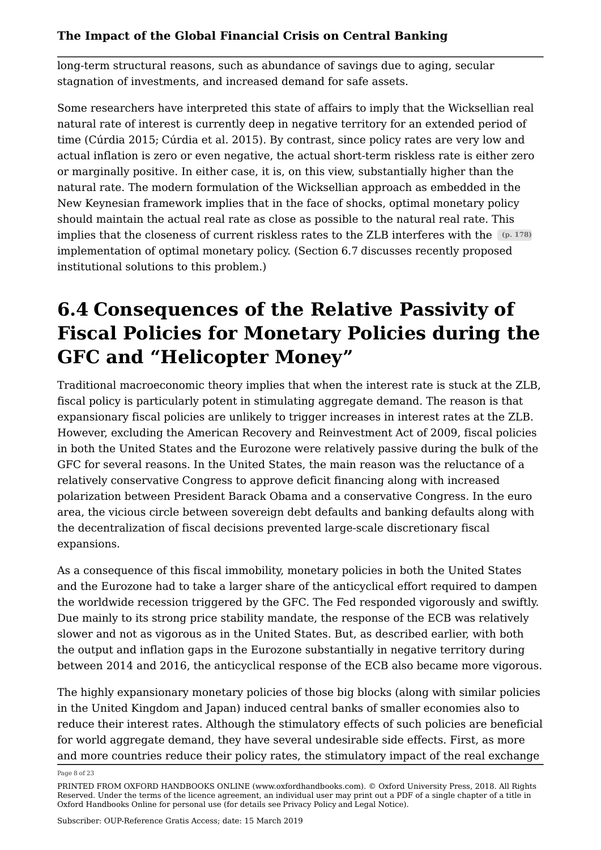long-term structural reasons, such as abundance of savings due to aging, secular stagnation of investments, and increased demand for safe assets.

Some researchers have interpreted this state of affairs to imply that the Wicksellian real natural rate of interest is currently deep in negative territory for an extended period of time (Cúrdia 2015; Cúrdia et al. 2015). By contrast, since policy rates are very low and actual inflation is zero or even negative, the actual short-term riskless rate is either zero or marginally positive. In either case, it is, on this view, substantially higher than the natural rate. The modern formulation of the Wicksellian approach as embedded in the New Keynesian framework implies that in the face of shocks, optimal monetary policy should maintain the actual real rate as close as possible to the natural real rate. This implies that the closeness of current riskless rates to the ZLB interferes with the **(p. 178)** implementation of optimal monetary policy. (Section 6.7 discusses recently proposed institutional solutions to this problem.)

## **6.4 Consequences of the Relative Passivity of Fiscal Policies for Monetary Policies during the GFC and "Helicopter Money"**

Traditional macroeconomic theory implies that when the interest rate is stuck at the ZLB, fiscal policy is particularly potent in stimulating aggregate demand. The reason is that expansionary fiscal policies are unlikely to trigger increases in interest rates at the ZLB. However, excluding the American Recovery and Reinvestment Act of 2009, fiscal policies in both the United States and the Eurozone were relatively passive during the bulk of the GFC for several reasons. In the United States, the main reason was the reluctance of a relatively conservative Congress to approve deficit financing along with increased polarization between President Barack Obama and a conservative Congress. In the euro area, the vicious circle between sovereign debt defaults and banking defaults along with the decentralization of fiscal decisions prevented large-scale discretionary fiscal expansions.

As a consequence of this fiscal immobility, monetary policies in both the United States and the Eurozone had to take a larger share of the anticyclical effort required to dampen the worldwide recession triggered by the GFC. The Fed responded vigorously and swiftly. Due mainly to its strong price stability mandate, the response of the ECB was relatively slower and not as vigorous as in the United States. But, as described earlier, with both the output and inflation gaps in the Eurozone substantially in negative territory during between 2014 and 2016, the anticyclical response of the ECB also became more vigorous.

The highly expansionary monetary policies of those big blocks (along with similar policies in the United Kingdom and Japan) induced central banks of smaller economies also to reduce their interest rates. Although the stimulatory effects of such policies are beneficial for world aggregate demand, they have several undesirable side effects. First, as more and more countries reduce their policy rates, the stimulatory impact of the real exchange

Page 8 of 23

PRINTED FROM OXFORD HANDBOOKS ONLINE (www.oxfordhandbooks.com). © Oxford University Press, 2018. All Rights Reserved. Under the terms of the licence agreement, an individual user may print out a PDF of a single chapter of a title in Oxford Handbooks Online for personal use (for details see Privacy Policy and Legal Notice).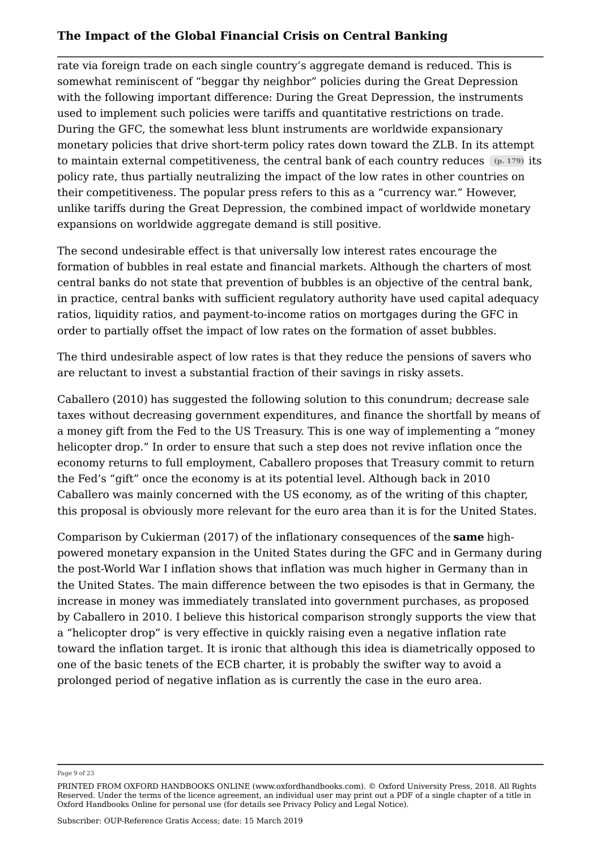rate via foreign trade on each single country's aggregate demand is reduced. This is somewhat reminiscent of "beggar thy neighbor" policies during the Great Depression with the following important difference: During the Great Depression, the instruments used to implement such policies were tariffs and quantitative restrictions on trade. During the GFC, the somewhat less blunt instruments are worldwide expansionary monetary policies that drive short-term policy rates down toward the ZLB. In its attempt to maintain external competitiveness, the central bank of each country reduces **(p. 179)** its policy rate, thus partially neutralizing the impact of the low rates in other countries on their competitiveness. The popular press refers to this as a "currency war." However, unlike tariffs during the Great Depression, the combined impact of worldwide monetary expansions on worldwide aggregate demand is still positive.

The second undesirable effect is that universally low interest rates encourage the formation of bubbles in real estate and financial markets. Although the charters of most central banks do not state that prevention of bubbles is an objective of the central bank, in practice, central banks with sufficient regulatory authority have used capital adequacy ratios, liquidity ratios, and payment-to-income ratios on mortgages during the GFC in order to partially offset the impact of low rates on the formation of asset bubbles.

The third undesirable aspect of low rates is that they reduce the pensions of savers who are reluctant to invest a substantial fraction of their savings in risky assets.

Caballero (2010) has suggested the following solution to this conundrum; decrease sale taxes without decreasing government expenditures, and finance the shortfall by means of a money gift from the Fed to the US Treasury. This is one way of implementing a "money helicopter drop." In order to ensure that such a step does not revive inflation once the economy returns to full employment, Caballero proposes that Treasury commit to return the Fed's "gift" once the economy is at its potential level. Although back in 2010 Caballero was mainly concerned with the US economy, as of the writing of this chapter, this proposal is obviously more relevant for the euro area than it is for the United States.

Comparison by Cukierman (2017) of the inflationary consequences of the **same** highpowered monetary expansion in the United States during the GFC and in Germany during the post-World War I inflation shows that inflation was much higher in Germany than in the United States. The main difference between the two episodes is that in Germany, the increase in money was immediately translated into government purchases, as proposed by Caballero in 2010. I believe this historical comparison strongly supports the view that a "helicopter drop" is very effective in quickly raising even a negative inflation rate toward the inflation target. It is ironic that although this idea is diametrically opposed to one of the basic tenets of the ECB charter, it is probably the swifter way to avoid a prolonged period of negative inflation as is currently the case in the euro area.

Page 9 of 23

PRINTED FROM OXFORD HANDBOOKS ONLINE (www.oxfordhandbooks.com). © Oxford University Press, 2018. All Rights Reserved. Under the terms of the licence agreement, an individual user may print out a PDF of a single chapter of a title in Oxford Handbooks Online for personal use (for details see Privacy Policy and Legal Notice).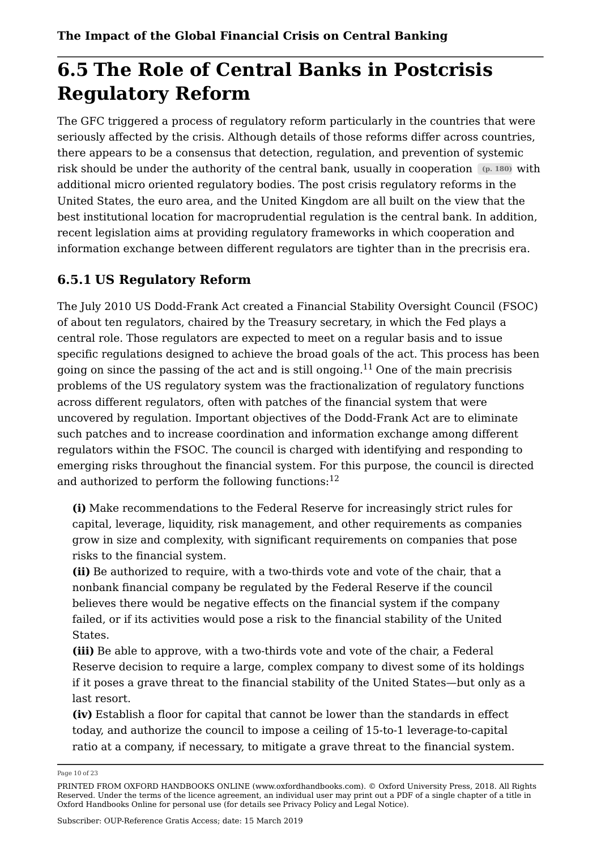## **6.5 The Role of Central Banks in Postcrisis Regulatory Reform**

The GFC triggered a process of regulatory reform particularly in the countries that were seriously affected by the crisis. Although details of those reforms differ across countries, there appears to be a consensus that detection, regulation, and prevention of systemic risk should be under the authority of the central bank, usually in cooperation **(p. 180)** with additional micro oriented regulatory bodies. The post crisis regulatory reforms in the United States, the euro area, and the United Kingdom are all built on the view that the best institutional location for macroprudential regulation is the central bank. In addition, recent legislation aims at providing regulatory frameworks in which cooperation and information exchange between different regulators are tighter than in the precrisis era.

## **6.5.1 US Regulatory Reform**

The July 2010 US Dodd-Frank Act created a Financial Stability Oversight Council (FSOC) of about ten regulators, chaired by the Treasury secretary, in which the Fed plays a central role. Those regulators are expected to meet on a regular basis and to issue specific regulations designed to achieve the broad goals of the act. This process has been going on since the passing of the act and is still ongoing.<sup>11</sup> One of the main precrisis problems of the US regulatory system was the fractionalization of regulatory functions across different regulators, often with patches of the financial system that were uncovered by regulation. Important objectives of the Dodd-Frank Act are to eliminate such patches and to increase coordination and information exchange among different regulators within the FSOC. The council is charged with identifying and responding to emerging risks throughout the financial system. For this purpose, the council is directed and authorized to perform the following functions:  $12$ 

**(i)** Make recommendations to the Federal Reserve for increasingly strict rules for capital, leverage, liquidity, risk management, and other requirements as companies grow in size and complexity, with significant requirements on companies that pose risks to the financial system.

**(ii)** Be authorized to require, with a two-thirds vote and vote of the chair, that a nonbank financial company be regulated by the Federal Reserve if the council believes there would be negative effects on the financial system if the company failed, or if its activities would pose a risk to the financial stability of the United States.

**(iii)** Be able to approve, with a two-thirds vote and vote of the chair, a Federal Reserve decision to require a large, complex company to divest some of its holdings if it poses a grave threat to the financial stability of the United States—but only as a last resort.

**(iv)** Establish a floor for capital that cannot be lower than the standards in effect today, and authorize the council to impose a ceiling of 15-to-1 leverage-to-capital ratio at a company, if necessary, to mitigate a grave threat to the financial system.

Page 10 of 23

PRINTED FROM OXFORD HANDBOOKS ONLINE (www.oxfordhandbooks.com). © Oxford University Press, 2018. All Rights Reserved. Under the terms of the licence agreement, an individual user may print out a PDF of a single chapter of a title in Oxford Handbooks Online for personal use (for details see Privacy Policy and Legal Notice).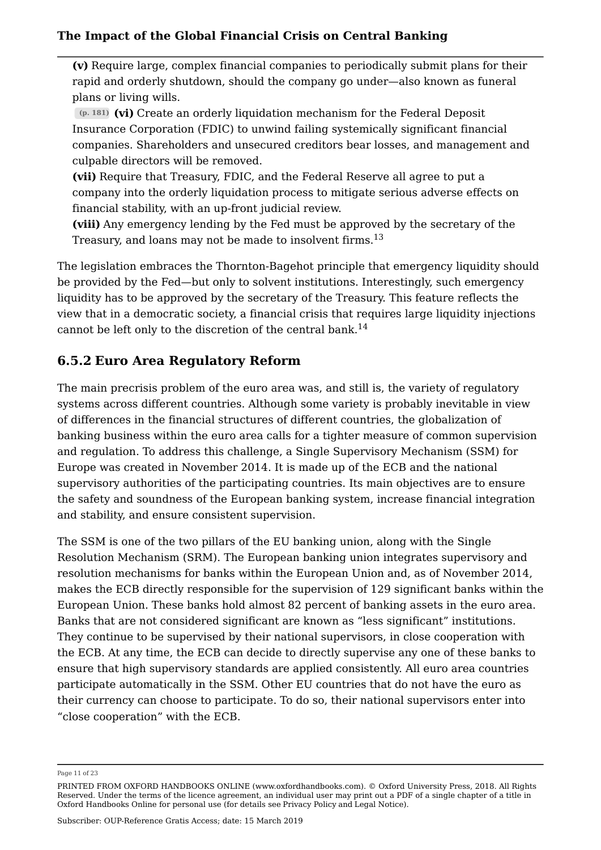**(v)** Require large, complex financial companies to periodically submit plans for their rapid and orderly shutdown, should the company go under—also known as funeral plans or living wills.

**(p. 181) (vi)** Create an orderly liquidation mechanism for the Federal Deposit Insurance Corporation (FDIC) to unwind failing systemically significant financial companies. Shareholders and unsecured creditors bear losses, and management and culpable directors will be removed.

**(vii)** Require that Treasury, FDIC, and the Federal Reserve all agree to put a company into the orderly liquidation process to mitigate serious adverse effects on financial stability, with an up-front judicial review.

**(viii)** Any emergency lending by the Fed must be approved by the secretary of the Treasury, and loans may not be made to insolvent firms.<sup>13</sup>

The legislation embraces the Thornton-Bagehot principle that emergency liquidity should be provided by the Fed—but only to solvent institutions. Interestingly, such emergency liquidity has to be approved by the secretary of the Treasury. This feature reflects the view that in a democratic society, a financial crisis that requires large liquidity injections cannot be left only to the discretion of the central bank.<sup>14</sup>

## **6.5.2 Euro Area Regulatory Reform**

The main precrisis problem of the euro area was, and still is, the variety of regulatory systems across different countries. Although some variety is probably inevitable in view of differences in the financial structures of different countries, the globalization of banking business within the euro area calls for a tighter measure of common supervision and regulation. To address this challenge, a Single Supervisory Mechanism (SSM) for Europe was created in November 2014. It is made up of the ECB and the national supervisory authorities of the participating countries. Its main objectives are to ensure the safety and soundness of the European banking system, increase financial integration and stability, and ensure consistent supervision.

The SSM is one of the two pillars of the EU banking union, along with the Single Resolution Mechanism (SRM). The European banking union integrates supervisory and resolution mechanisms for banks within the European Union and, as of November 2014, makes the ECB directly responsible for the supervision of 129 significant banks within the European Union. These banks hold almost 82 percent of banking assets in the euro area. Banks that are not considered significant are known as "less significant" institutions. They continue to be supervised by their national supervisors, in close cooperation with the ECB. At any time, the ECB can decide to directly supervise any one of these banks to ensure that high supervisory standards are applied consistently. All euro area countries participate automatically in the SSM. Other EU countries that do not have the euro as their currency can choose to participate. To do so, their national supervisors enter into "close cooperation" with the ECB.

Page 11 of 23

PRINTED FROM OXFORD HANDBOOKS ONLINE (www.oxfordhandbooks.com). © Oxford University Press, 2018. All Rights Reserved. Under the terms of the licence agreement, an individual user may print out a PDF of a single chapter of a title in Oxford Handbooks Online for personal use (for details see Privacy Policy and Legal Notice).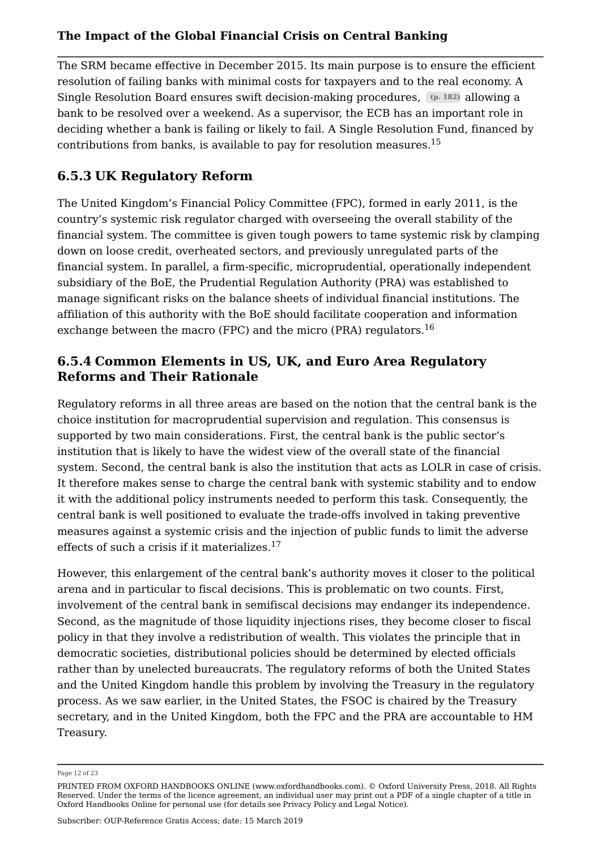The SRM became effective in December 2015. Its main purpose is to ensure the efficient resolution of failing banks with minimal costs for taxpayers and to the real economy. A Single Resolution Board ensures swift decision-making procedures, **(p. 182)** allowing a bank to be resolved over a weekend. As a supervisor, the ECB has an important role in deciding whether a bank is failing or likely to fail. A Single Resolution Fund, financed by contributions from banks, is available to pay for resolution measures.<sup>15</sup>

## **6.5.3 UK Regulatory Reform**

The United Kingdom's Financial Policy Committee (FPC), formed in early 2011, is the country's systemic risk regulator charged with overseeing the overall stability of the financial system. The committee is given tough powers to tame systemic risk by clamping down on loose credit, overheated sectors, and previously unregulated parts of the financial system. In parallel, a firm-specific, microprudential, operationally independent subsidiary of the BoE, the Prudential Regulation Authority (PRA) was established to manage significant risks on the balance sheets of individual financial institutions. The affiliation of this authority with the BoE should facilitate cooperation and information exchange between the macro (FPC) and the micro (PRA) regulators.<sup>16</sup>

## **6.5.4 Common Elements in US, UK, and Euro Area Regulatory Reforms and Their Rationale**

Regulatory reforms in all three areas are based on the notion that the central bank is the choice institution for macroprudential supervision and regulation. This consensus is supported by two main considerations. First, the central bank is the public sector's institution that is likely to have the widest view of the overall state of the financial system. Second, the central bank is also the institution that acts as LOLR in case of crisis. It therefore makes sense to charge the central bank with systemic stability and to endow it with the additional policy instruments needed to perform this task. Consequently, the central bank is well positioned to evaluate the trade-offs involved in taking preventive measures against a systemic crisis and the injection of public funds to limit the adverse effects of such a crisis if it materializes.<sup>17</sup>

However, this enlargement of the central bank's authority moves it closer to the political arena and in particular to fiscal decisions. This is problematic on two counts. First, involvement of the central bank in semifiscal decisions may endanger its independence. Second, as the magnitude of those liquidity injections rises, they become closer to fiscal policy in that they involve a redistribution of wealth. This violates the principle that in democratic societies, distributional policies should be determined by elected officials rather than by unelected bureaucrats. The regulatory reforms of both the United States and the United Kingdom handle this problem by involving the Treasury in the regulatory process. As we saw earlier, in the United States, the FSOC is chaired by the Treasury secretary, and in the United Kingdom, both the FPC and the PRA are accountable to HM Treasury.

Page 12 of 23

PRINTED FROM OXFORD HANDBOOKS ONLINE (www.oxfordhandbooks.com). © Oxford University Press, 2018. All Rights Reserved. Under the terms of the licence agreement, an individual user may print out a PDF of a single chapter of a title in Oxford Handbooks Online for personal use (for details see Privacy Policy and Legal Notice).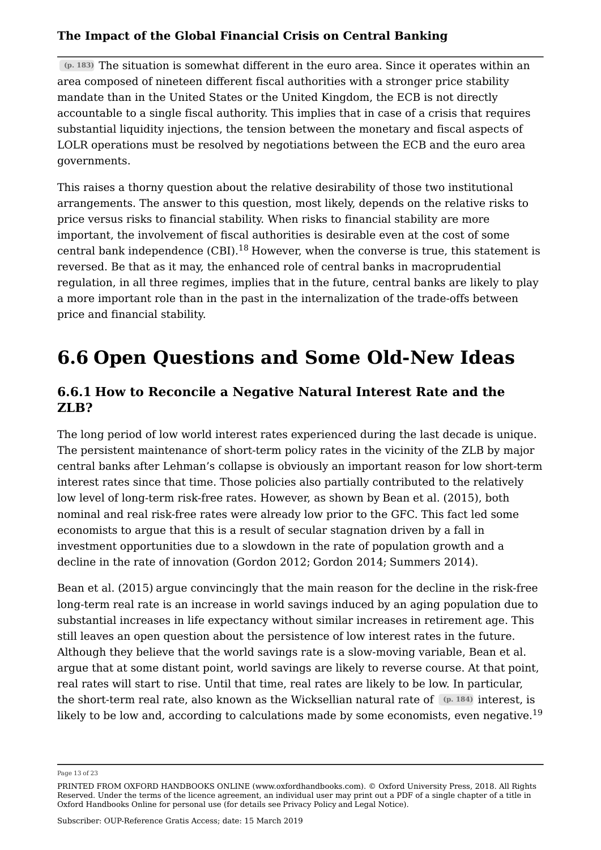**(p. 183)** The situation is somewhat different in the euro area. Since it operates within an area composed of nineteen different fiscal authorities with a stronger price stability mandate than in the United States or the United Kingdom, the ECB is not directly accountable to a single fiscal authority. This implies that in case of a crisis that requires substantial liquidity injections, the tension between the monetary and fiscal aspects of LOLR operations must be resolved by negotiations between the ECB and the euro area governments.

This raises a thorny question about the relative desirability of those two institutional arrangements. The answer to this question, most likely, depends on the relative risks to price versus risks to financial stability. When risks to financial stability are more important, the involvement of fiscal authorities is desirable even at the cost of some central bank independence  $(CBI)$ .<sup>18</sup> However, when the converse is true, this statement is reversed. Be that as it may, the enhanced role of central banks in macroprudential regulation, in all three regimes, implies that in the future, central banks are likely to play a more important role than in the past in the internalization of the trade-offs between price and financial stability.

# **6.6 Open Questions and Some Old-New Ideas**

## **6.6.1 How to Reconcile a Negative Natural Interest Rate and the ZLB?**

The long period of low world interest rates experienced during the last decade is unique. The persistent maintenance of short-term policy rates in the vicinity of the ZLB by major central banks after Lehman's collapse is obviously an important reason for low short-term interest rates since that time. Those policies also partially contributed to the relatively low level of long-term risk-free rates. However, as shown by Bean et al. (2015), both nominal and real risk-free rates were already low prior to the GFC. This fact led some economists to argue that this is a result of secular stagnation driven by a fall in investment opportunities due to a slowdown in the rate of population growth and a decline in the rate of innovation (Gordon 2012; Gordon 2014; Summers 2014).

Bean et al. (2015) argue convincingly that the main reason for the decline in the risk-free long-term real rate is an increase in world savings induced by an aging population due to substantial increases in life expectancy without similar increases in retirement age. This still leaves an open question about the persistence of low interest rates in the future. Although they believe that the world savings rate is a slow-moving variable, Bean et al. argue that at some distant point, world savings are likely to reverse course. At that point, real rates will start to rise. Until that time, real rates are likely to be low. In particular, the short-term real rate, also known as the Wicksellian natural rate of **(p. 184)** interest, is likely to be low and, according to calculations made by some economists, even negative.<sup>19</sup>

Page 13 of 23

PRINTED FROM OXFORD HANDBOOKS ONLINE (www.oxfordhandbooks.com). © Oxford University Press, 2018. All Rights Reserved. Under the terms of the licence agreement, an individual user may print out a PDF of a single chapter of a title in Oxford Handbooks Online for personal use (for details see Privacy Policy and Legal Notice).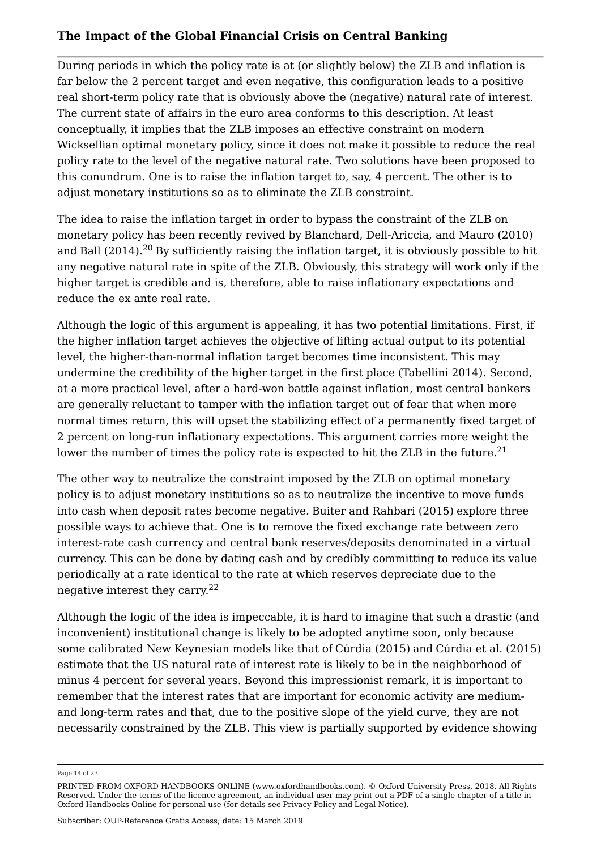During periods in which the policy rate is at (or slightly below) the ZLB and inflation is far below the 2 percent target and even negative, this configuration leads to a positive real short-term policy rate that is obviously above the (negative) natural rate of interest. The current state of affairs in the euro area conforms to this description. At least conceptually, it implies that the ZLB imposes an effective constraint on modern Wicksellian optimal monetary policy, since it does not make it possible to reduce the real policy rate to the level of the negative natural rate. Two solutions have been proposed to this conundrum. One is to raise the inflation target to, say, 4 percent. The other is to adjust monetary institutions so as to eliminate the ZLB constraint.

The idea to raise the inflation target in order to bypass the constraint of the ZLB on monetary policy has been recently revived by Blanchard, Dell-Ariccia, and Mauro (2010) and Ball (2014). $^{20}$  By sufficiently raising the inflation target, it is obviously possible to hit any negative natural rate in spite of the ZLB. Obviously, this strategy will work only if the higher target is credible and is, therefore, able to raise inflationary expectations and reduce the ex ante real rate.

Although the logic of this argument is appealing, it has two potential limitations. First, if the higher inflation target achieves the objective of lifting actual output to its potential level, the higher-than-normal inflation target becomes time inconsistent. This may undermine the credibility of the higher target in the first place (Tabellini 2014). Second, at a more practical level, after a hard-won battle against inflation, most central bankers are generally reluctant to tamper with the inflation target out of fear that when more normal times return, this will upset the stabilizing effect of a permanently fixed target of 2 percent on long-run inflationary expectations. This argument carries more weight the lower the number of times the policy rate is expected to hit the ZLB in the future.<sup>21</sup>

The other way to neutralize the constraint imposed by the ZLB on optimal monetary policy is to adjust monetary institutions so as to neutralize the incentive to move funds into cash when deposit rates become negative. Buiter and Rahbari (2015) explore three possible ways to achieve that. One is to remove the fixed exchange rate between zero interest-rate cash currency and central bank reserves/deposits denominated in a virtual currency. This can be done by dating cash and by credibly committing to reduce its value periodically at a rate identical to the rate at which reserves depreciate due to the negative interest they carry. $22$ 

Although the logic of the idea is impeccable, it is hard to imagine that such a drastic (and inconvenient) institutional change is likely to be adopted anytime soon, only because some calibrated New Keynesian models like that of Cúrdia (2015) and Cúrdia et al. (2015) estimate that the US natural rate of interest rate is likely to be in the neighborhood of minus 4 percent for several years. Beyond this impressionist remark, it is important to remember that the interest rates that are important for economic activity are mediumand long-term rates and that, due to the positive slope of the yield curve, they are not necessarily constrained by the ZLB. This view is partially supported by evidence showing

Page 14 of 23

PRINTED FROM OXFORD HANDBOOKS ONLINE (www.oxfordhandbooks.com). © Oxford University Press, 2018. All Rights Reserved. Under the terms of the licence agreement, an individual user may print out a PDF of a single chapter of a title in Oxford Handbooks Online for personal use (for details see Privacy Policy and Legal Notice).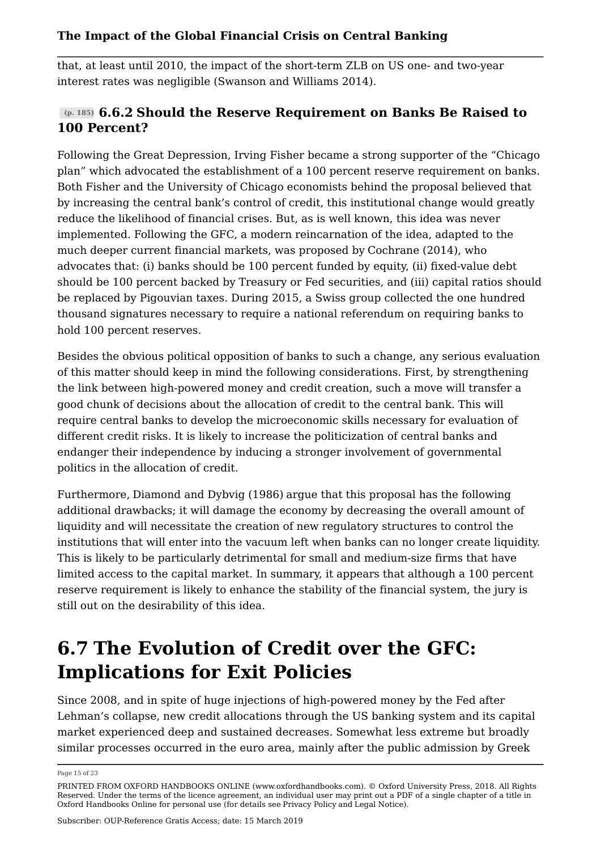that, at least until 2010, the impact of the short-term ZLB on US one- and two-year interest rates was negligible (Swanson and Williams 2014).

## **(p. 185) 6.6.2 Should the Reserve Requirement on Banks Be Raised to 100 Percent?**

Following the Great Depression, Irving Fisher became a strong supporter of the "Chicago plan" which advocated the establishment of a 100 percent reserve requirement on banks. Both Fisher and the University of Chicago economists behind the proposal believed that by increasing the central bank's control of credit, this institutional change would greatly reduce the likelihood of financial crises. But, as is well known, this idea was never implemented. Following the GFC, a modern reincarnation of the idea, adapted to the much deeper current financial markets, was proposed by Cochrane (2014), who advocates that: (i) banks should be 100 percent funded by equity, (ii) fixed-value debt should be 100 percent backed by Treasury or Fed securities, and (iii) capital ratios should be replaced by Pigouvian taxes. During 2015, a Swiss group collected the one hundred thousand signatures necessary to require a national referendum on requiring banks to hold 100 percent reserves.

Besides the obvious political opposition of banks to such a change, any serious evaluation of this matter should keep in mind the following considerations. First, by strengthening the link between high-powered money and credit creation, such a move will transfer a good chunk of decisions about the allocation of credit to the central bank. This will require central banks to develop the microeconomic skills necessary for evaluation of different credit risks. It is likely to increase the politicization of central banks and endanger their independence by inducing a stronger involvement of governmental politics in the allocation of credit.

Furthermore, Diamond and Dybvig (1986) argue that this proposal has the following additional drawbacks; it will damage the economy by decreasing the overall amount of liquidity and will necessitate the creation of new regulatory structures to control the institutions that will enter into the vacuum left when banks can no longer create liquidity. This is likely to be particularly detrimental for small and medium-size firms that have limited access to the capital market. In summary, it appears that although a 100 percent reserve requirement is likely to enhance the stability of the financial system, the jury is still out on the desirability of this idea.

## **6.7 The Evolution of Credit over the GFC: Implications for Exit Policies**

Since 2008, and in spite of huge injections of high-powered money by the Fed after Lehman's collapse, new credit allocations through the US banking system and its capital market experienced deep and sustained decreases. Somewhat less extreme but broadly similar processes occurred in the euro area, mainly after the public admission by Greek

Page 15 of 23

PRINTED FROM OXFORD HANDBOOKS ONLINE (www.oxfordhandbooks.com). © Oxford University Press, 2018. All Rights Reserved. Under the terms of the licence agreement, an individual user may print out a PDF of a single chapter of a title in Oxford Handbooks Online for personal use (for details see Privacy Policy and Legal Notice).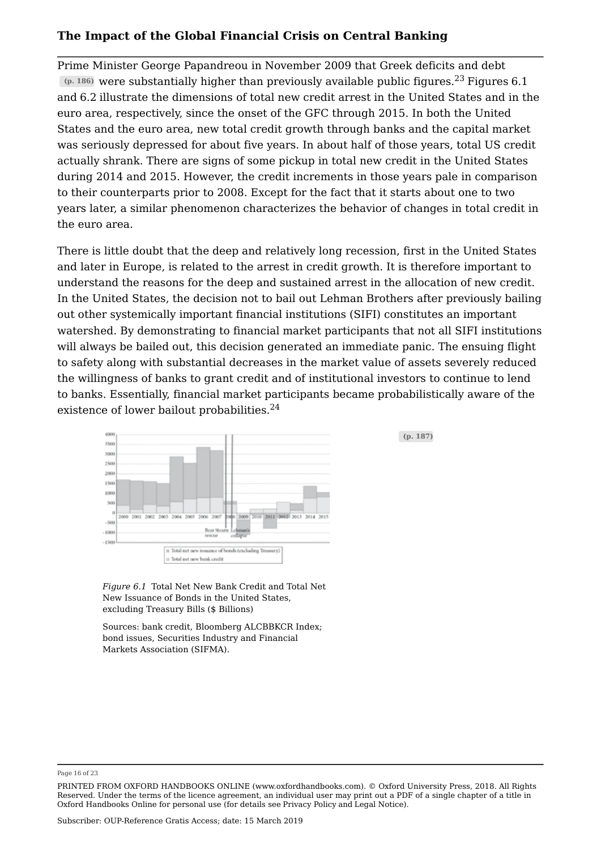Prime Minister George Papandreou in November 2009 that Greek deficits and debt **(p. 186)** were substantially higher than previously available public figures.<sup>23</sup> Figures 6.1 and 6.2 illustrate the dimensions of total new credit arrest in the United States and in the euro area, respectively, since the onset of the GFC through 2015. In both the United States and the euro area, new total credit growth through banks and the capital market was seriously depressed for about five years. In about half of those years, total US credit actually shrank. There are signs of some pickup in total new credit in the United States during 2014 and 2015. However, the credit increments in those years pale in comparison to their counterparts prior to 2008. Except for the fact that it starts about one to two years later, a similar phenomenon characterizes the behavior of changes in total credit in the euro area.

There is little doubt that the deep and relatively long recession, first in the United States and later in Europe, is related to the arrest in credit growth. It is therefore important to understand the reasons for the deep and sustained arrest in the allocation of new credit. In the United States, the decision not to bail out Lehman Brothers after previously bailing out other systemically important financial institutions (SIFI) constitutes an important watershed. By demonstrating to financial market participants that not all SIFI institutions will always be bailed out, this decision generated an immediate panic. The ensuing flight to safety along with substantial decreases in the market value of assets severely reduced the willingness of banks to grant credit and of institutional investors to continue to lend to banks. Essentially, financial market participants became probabilistically aware of the existence of lower bailout probabilities.<sup>24</sup>



*Figure 6.1* Total Net New Bank Credit and Total Net New Issuance of Bonds in the United States, excluding Treasury Bills (\$ Billions)

Sources: bank credit, Bloomberg ALCBBKCR Index; bond issues, Securities Industry and Financial Markets Association (SIFMA).

**(p. 187)**

Page 16 of 23

PRINTED FROM OXFORD HANDBOOKS ONLINE (www.oxfordhandbooks.com). © Oxford University Press, 2018. All Rights Reserved. Under the terms of the licence agreement, an individual user may print out a PDF of a single chapter of a title in Oxford Handbooks Online for personal use (for details see Privacy Policy and Legal Notice).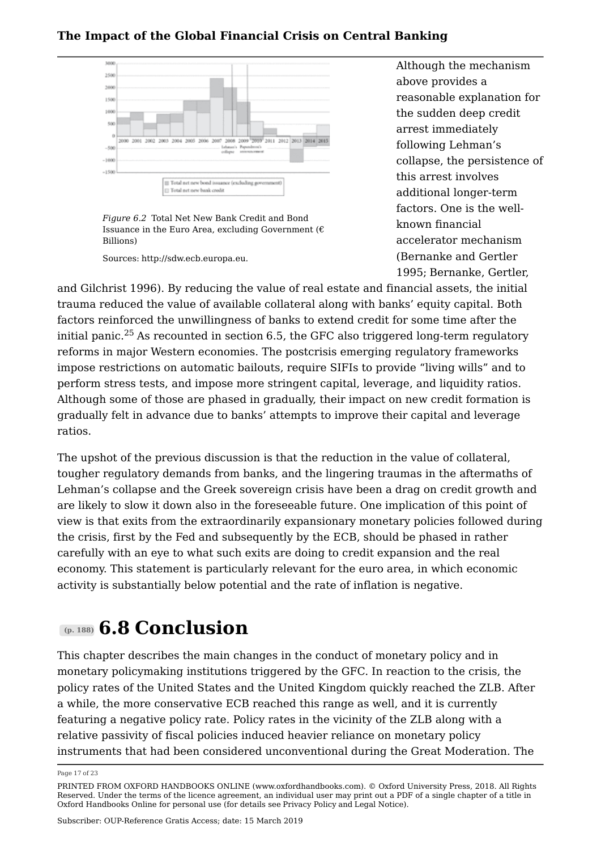

*Figure 6.2* Total Net New Bank Credit and Bond Issuance in the Euro Area, excluding Government ( $\epsilon$ Billions)

Sources: http://sdw.ecb.europa.eu.

Although the mechanism above provides a reasonable explanation for the sudden deep credit arrest immediately following Lehman's collapse, the persistence of this arrest involves additional longer-term factors. One is the wellknown financial accelerator mechanism (Bernanke and Gertler 1995; Bernanke, Gertler,

and Gilchrist 1996). By reducing the value of real estate and financial assets, the initial trauma reduced the value of available collateral along with banks' equity capital. Both factors reinforced the unwillingness of banks to extend credit for some time after the initial panic.<sup>25</sup> As recounted in section 6.5, the GFC also triggered long-term regulatory reforms in major Western economies. The postcrisis emerging regulatory frameworks impose restrictions on automatic bailouts, require SIFIs to provide "living wills" and to perform stress tests, and impose more stringent capital, leverage, and liquidity ratios. Although some of those are phased in gradually, their impact on new credit formation is gradually felt in advance due to banks' attempts to improve their capital and leverage ratios.

The upshot of the previous discussion is that the reduction in the value of collateral, tougher regulatory demands from banks, and the lingering traumas in the aftermaths of Lehman's collapse and the Greek sovereign crisis have been a drag on credit growth and are likely to slow it down also in the foreseeable future. One implication of this point of view is that exits from the extraordinarily expansionary monetary policies followed during the crisis, first by the Fed and subsequently by the ECB, should be phased in rather carefully with an eye to what such exits are doing to credit expansion and the real economy. This statement is particularly relevant for the euro area, in which economic activity is substantially below potential and the rate of inflation is negative.

## **(p. 188) 6.8 Conclusion**

This chapter describes the main changes in the conduct of monetary policy and in monetary policymaking institutions triggered by the GFC. In reaction to the crisis, the policy rates of the United States and the United Kingdom quickly reached the ZLB. After a while, the more conservative ECB reached this range as well, and it is currently featuring a negative policy rate. Policy rates in the vicinity of the ZLB along with a relative passivity of fiscal policies induced heavier reliance on monetary policy instruments that had been considered unconventional during the Great Moderation. The

Page 17 of 23

PRINTED FROM OXFORD HANDBOOKS ONLINE (www.oxfordhandbooks.com). © Oxford University Press, 2018. All Rights Reserved. Under the terms of the licence agreement, an individual user may print out a PDF of a single chapter of a title in Oxford Handbooks Online for personal use (for details see Privacy Policy and Legal Notice).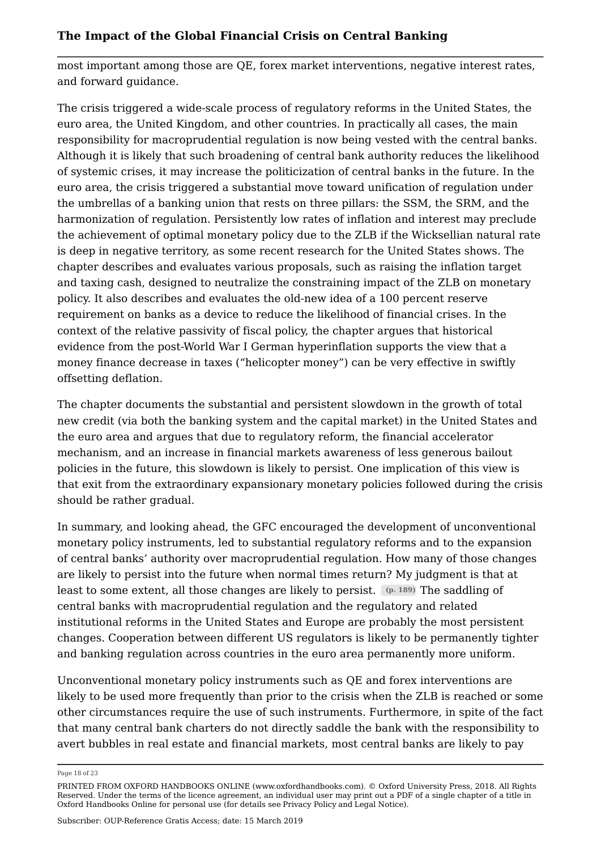most important among those are QE, forex market interventions, negative interest rates, and forward guidance.

The crisis triggered a wide-scale process of regulatory reforms in the United States, the euro area, the United Kingdom, and other countries. In practically all cases, the main responsibility for macroprudential regulation is now being vested with the central banks. Although it is likely that such broadening of central bank authority reduces the likelihood of systemic crises, it may increase the politicization of central banks in the future. In the euro area, the crisis triggered a substantial move toward unification of regulation under the umbrellas of a banking union that rests on three pillars: the SSM, the SRM, and the harmonization of regulation. Persistently low rates of inflation and interest may preclude the achievement of optimal monetary policy due to the ZLB if the Wicksellian natural rate is deep in negative territory, as some recent research for the United States shows. The chapter describes and evaluates various proposals, such as raising the inflation target and taxing cash, designed to neutralize the constraining impact of the ZLB on monetary policy. It also describes and evaluates the old-new idea of a 100 percent reserve requirement on banks as a device to reduce the likelihood of financial crises. In the context of the relative passivity of fiscal policy, the chapter argues that historical evidence from the post-World War I German hyperinflation supports the view that a money finance decrease in taxes ("helicopter money") can be very effective in swiftly offsetting deflation.

The chapter documents the substantial and persistent slowdown in the growth of total new credit (via both the banking system and the capital market) in the United States and the euro area and argues that due to regulatory reform, the financial accelerator mechanism, and an increase in financial markets awareness of less generous bailout policies in the future, this slowdown is likely to persist. One implication of this view is that exit from the extraordinary expansionary monetary policies followed during the crisis should be rather gradual.

In summary, and looking ahead, the GFC encouraged the development of unconventional monetary policy instruments, led to substantial regulatory reforms and to the expansion of central banks' authority over macroprudential regulation. How many of those changes are likely to persist into the future when normal times return? My judgment is that at least to some extent, all those changes are likely to persist. **(p. 189)** The saddling of central banks with macroprudential regulation and the regulatory and related institutional reforms in the United States and Europe are probably the most persistent changes. Cooperation between different US regulators is likely to be permanently tighter and banking regulation across countries in the euro area permanently more uniform.

Unconventional monetary policy instruments such as QE and forex interventions are likely to be used more frequently than prior to the crisis when the ZLB is reached or some other circumstances require the use of such instruments. Furthermore, in spite of the fact that many central bank charters do not directly saddle the bank with the responsibility to avert bubbles in real estate and financial markets, most central banks are likely to pay

Page 18 of 23

PRINTED FROM OXFORD HANDBOOKS ONLINE (www.oxfordhandbooks.com). © Oxford University Press, 2018. All Rights Reserved. Under the terms of the licence agreement, an individual user may print out a PDF of a single chapter of a title in Oxford Handbooks Online for personal use (for details see Privacy Policy and Legal Notice).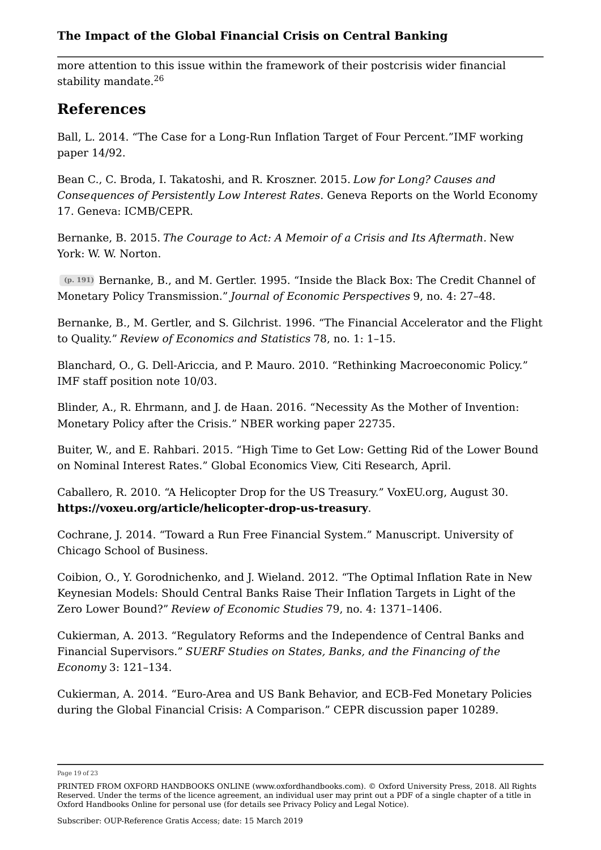more attention to this issue within the framework of their postcrisis wider financial stability mandate.<sup>26</sup>

## **References**

Ball, L. 2014. "The Case for a Long-Run Inflation Target of Four Percent."IMF working paper 14/92.

Bean C., C. Broda, I. Takatoshi, and R. Kroszner. 2015. *Low for Long? Causes and Consequences of Persistently Low Interest Rates*. Geneva Reports on the World Economy 17. Geneva: ICMB/CEPR.

Bernanke, B. 2015. *The Courage to Act: A Memoir of a Crisis and Its Aftermath.* New York: W. W. Norton.

**(p. 191)** Bernanke, B., and M. Gertler. 1995. "Inside the Black Box: The Credit Channel of Monetary Policy Transmission." *Journal of Economic Perspectives* 9, no. 4: 27–48.

Bernanke, B., M. Gertler, and S. Gilchrist. 1996. "The Financial Accelerator and the Flight to Quality." *Review of Economics and Statistics* 78, no. 1: 1–15.

Blanchard, O., G. Dell-Ariccia, and P. Mauro. 2010. "Rethinking Macroeconomic Policy." IMF staff position note 10/03.

Blinder, A., R. Ehrmann, and J. de Haan. 2016. "Necessity As the Mother of Invention: Monetary Policy after the Crisis." NBER working paper 22735.

Buiter, W., and E. Rahbari. 2015. "High Time to Get Low: Getting Rid of the Lower Bound on Nominal Interest Rates." Global Economics View, Citi Research, April.

Caballero, R. 2010. "A Helicopter Drop for the US Treasury." VoxEU.org, August 30. **https://voxeu.org/article/helicopter-drop-us-treasury**.

Cochrane, J. 2014. "Toward a Run Free Financial System." Manuscript. University of Chicago School of Business.

Coibion, O., Y. Gorodnichenko, and J. Wieland. 2012. "The Optimal Inflation Rate in New Keynesian Models: Should Central Banks Raise Their Inflation Targets in Light of the Zero Lower Bound?" *Review of Economic Studies* 79, no. 4: 1371–1406.

Cukierman, A. 2013. "Regulatory Reforms and the Independence of Central Banks and Financial Supervisors." *SUERF Studies on States, Banks, and the Financing of the Economy* 3: 121–134.

Cukierman, A. 2014. "Euro-Area and US Bank Behavior, and ECB-Fed Monetary Policies during the Global Financial Crisis: A Comparison." CEPR discussion paper 10289.

Page 19 of 23

PRINTED FROM OXFORD HANDBOOKS ONLINE (www.oxfordhandbooks.com). © Oxford University Press, 2018. All Rights Reserved. Under the terms of the licence agreement, an individual user may print out a PDF of a single chapter of a title in Oxford Handbooks Online for personal use (for details see Privacy Policy and Legal Notice).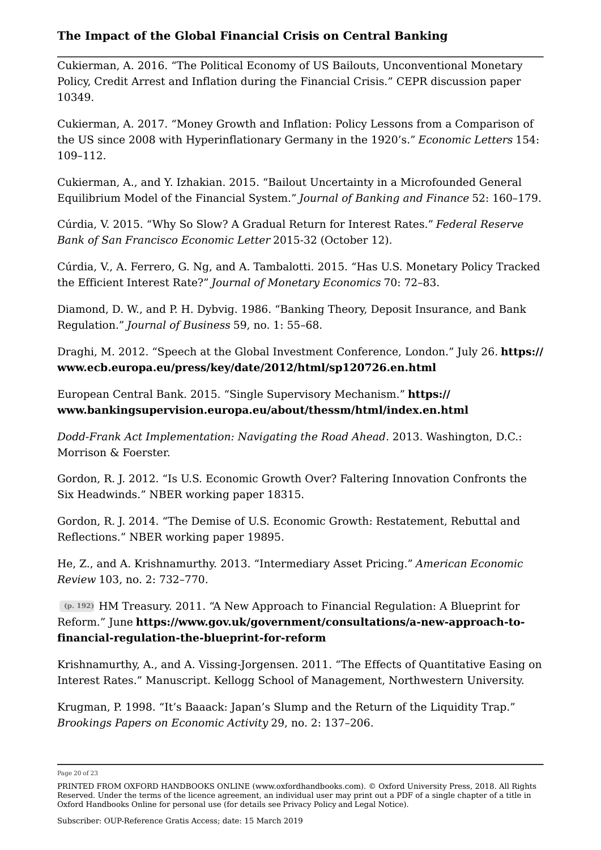Cukierman, A. 2016. "The Political Economy of US Bailouts, Unconventional Monetary Policy, Credit Arrest and Inflation during the Financial Crisis." CEPR discussion paper 10349.

Cukierman, A. 2017. "Money Growth and Inflation: Policy Lessons from a Comparison of the US since 2008 with Hyperinflationary Germany in the 1920's." *Economic Letters* 154: 109–112.

Cukierman, A., and Y. Izhakian. 2015. "Bailout Uncertainty in a Microfounded General Equilibrium Model of the Financial System." *Journal of Banking and Finance* 52: 160–179.

Cúrdia, V. 2015. "Why So Slow? A Gradual Return for Interest Rates." *Federal Reserve Bank of San Francisco Economic Letter* 2015-32 (October 12).

Cúrdia, V., A. Ferrero, G. Ng, and A. Tambalotti. 2015. "Has U.S. Monetary Policy Tracked the Efficient Interest Rate?" *Journal of Monetary Economics* 70: 72–83.

Diamond, D. W., and P. H. Dybvig. 1986. "Banking Theory, Deposit Insurance, and Bank Regulation." *Journal of Business* 59, no. 1: 55–68.

Draghi, M. 2012. "Speech at the Global Investment Conference, London." July 26. **https:// www.ecb.europa.eu/press/key/date/2012/html/sp120726.en.html**

European Central Bank. 2015. "Single Supervisory Mechanism." **https:// www.bankingsupervision.europa.eu/about/thessm/html/index.en.html**

*Dodd-Frank Act Implementation: Navigating the Road Ahead*. 2013. Washington, D.C.: Morrison & Foerster.

Gordon, R. J. 2012. "Is U.S. Economic Growth Over? Faltering Innovation Confronts the Six Headwinds." NBER working paper 18315.

Gordon, R. J. 2014. "The Demise of U.S. Economic Growth: Restatement, Rebuttal and Reflections." NBER working paper 19895.

He, Z., and A. Krishnamurthy. 2013. "Intermediary Asset Pricing." *American Economic Review* 103, no. 2: 732–770.

**(p. 192)** HM Treasury. 2011. "A New Approach to Financial Regulation: A Blueprint for Reform." June **https://www.gov.uk/government/consultations/a-new-approach-tofinancial-regulation-the-blueprint-for-reform**

Krishnamurthy, A., and A. Vissing-Jorgensen. 2011. "The Effects of Quantitative Easing on Interest Rates." Manuscript. Kellogg School of Management, Northwestern University.

Krugman, P. 1998. "It's Baaack: Japan's Slump and the Return of the Liquidity Trap." *Brookings Papers on Economic Activity* 29, no. 2: 137–206.

Page 20 of 23

PRINTED FROM OXFORD HANDBOOKS ONLINE (www.oxfordhandbooks.com). © Oxford University Press, 2018. All Rights Reserved. Under the terms of the licence agreement, an individual user may print out a PDF of a single chapter of a title in Oxford Handbooks Online for personal use (for details see Privacy Policy and Legal Notice).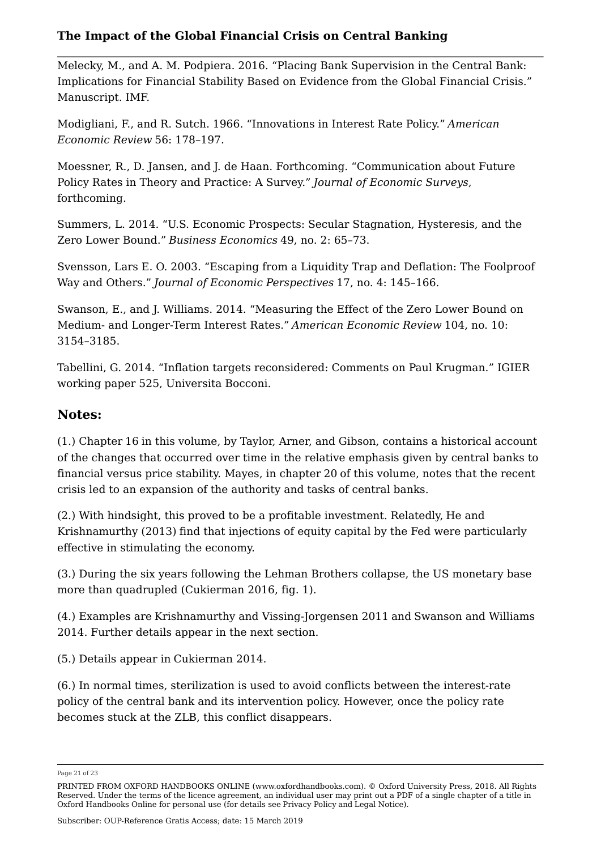Melecky, M., and A. M. Podpiera. 2016. "Placing Bank Supervision in the Central Bank: Implications for Financial Stability Based on Evidence from the Global Financial Crisis." Manuscript. IMF.

Modigliani, F., and R. Sutch. 1966. "Innovations in Interest Rate Policy." *American Economic Review* 56: 178–197.

Moessner, R., D. Jansen, and J. de Haan. Forthcoming. "Communication about Future Policy Rates in Theory and Practice: A Survey." *Journal of Economic Surveys*, forthcoming.

Summers, L. 2014. "U.S. Economic Prospects: Secular Stagnation, Hysteresis, and the Zero Lower Bound." *Business Economics* 49, no. 2: 65–73.

Svensson, Lars E. O. 2003. "Escaping from a Liquidity Trap and Deflation: The Foolproof Way and Others." *Journal of Economic Perspectives* 17, no. 4: 145–166.

Swanson, E., and J. Williams. 2014. "Measuring the Effect of the Zero Lower Bound on Medium- and Longer-Term Interest Rates." *American Economic Review* 104, no. 10: 3154–3185.

Tabellini, G. 2014. "Inflation targets reconsidered: Comments on Paul Krugman." IGIER working paper 525, Universita Bocconi.

## **Notes:**

(1.) Chapter 16 in this volume, by Taylor, Arner, and Gibson, contains a historical account of the changes that occurred over time in the relative emphasis given by central banks to financial versus price stability. Mayes, in chapter 20 of this volume, notes that the recent crisis led to an expansion of the authority and tasks of central banks.

(2.) With hindsight, this proved to be a profitable investment. Relatedly, He and Krishnamurthy (2013) find that injections of equity capital by the Fed were particularly effective in stimulating the economy.

(3.) During the six years following the Lehman Brothers collapse, the US monetary base more than quadrupled (Cukierman 2016, fig. 1).

(4.) Examples are Krishnamurthy and Vissing-Jorgensen 2011 and Swanson and Williams 2014. Further details appear in the next section.

(5.) Details appear in Cukierman 2014.

(6.) In normal times, sterilization is used to avoid conflicts between the interest-rate policy of the central bank and its intervention policy. However, once the policy rate becomes stuck at the ZLB, this conflict disappears.

Page 21 of 23

Subscriber: OUP-Reference Gratis Access; date: 15 March 2019

PRINTED FROM OXFORD HANDBOOKS ONLINE (www.oxfordhandbooks.com). © Oxford University Press, 2018. All Rights Reserved. Under the terms of the licence agreement, an individual user may print out a PDF of a single chapter of a title in Oxford Handbooks Online for personal use (for details see Privacy Policy and Legal Notice).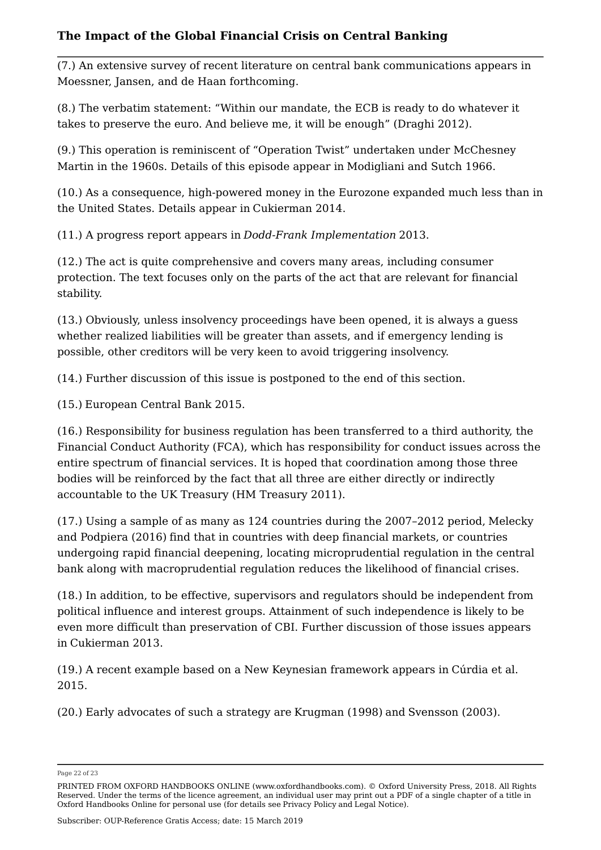(7.) An extensive survey of recent literature on central bank communications appears in Moessner, Jansen, and de Haan forthcoming.

(8.) The verbatim statement: "Within our mandate, the ECB is ready to do whatever it takes to preserve the euro. And believe me, it will be enough" (Draghi 2012).

(9.) This operation is reminiscent of "Operation Twist" undertaken under McChesney Martin in the 1960s. Details of this episode appear in Modigliani and Sutch 1966.

(10.) As a consequence, high-powered money in the Eurozone expanded much less than in the United States. Details appear in Cukierman 2014.

(11.) A progress report appears in *Dodd-Frank Implementation* 2013.

(12.) The act is quite comprehensive and covers many areas, including consumer protection. The text focuses only on the parts of the act that are relevant for financial stability.

(13.) Obviously, unless insolvency proceedings have been opened, it is always a guess whether realized liabilities will be greater than assets, and if emergency lending is possible, other creditors will be very keen to avoid triggering insolvency.

(14.) Further discussion of this issue is postponed to the end of this section.

(15.) European Central Bank 2015.

(16.) Responsibility for business regulation has been transferred to a third authority, the Financial Conduct Authority (FCA), which has responsibility for conduct issues across the entire spectrum of financial services. It is hoped that coordination among those three bodies will be reinforced by the fact that all three are either directly or indirectly accountable to the UK Treasury (HM Treasury 2011).

(17.) Using a sample of as many as 124 countries during the 2007–2012 period, Melecky and Podpiera (2016) find that in countries with deep financial markets, or countries undergoing rapid financial deepening, locating microprudential regulation in the central bank along with macroprudential regulation reduces the likelihood of financial crises.

(18.) In addition, to be effective, supervisors and regulators should be independent from political influence and interest groups. Attainment of such independence is likely to be even more difficult than preservation of CBI. Further discussion of those issues appears in Cukierman 2013.

(19.) A recent example based on a New Keynesian framework appears in Cúrdia et al. 2015.

(20.) Early advocates of such a strategy are Krugman (1998) and Svensson (2003).

Subscriber: OUP-Reference Gratis Access; date: 15 March 2019

Page 22 of 23

PRINTED FROM OXFORD HANDBOOKS ONLINE (www.oxfordhandbooks.com). © Oxford University Press, 2018. All Rights Reserved. Under the terms of the licence agreement, an individual user may print out a PDF of a single chapter of a title in Oxford Handbooks Online for personal use (for details see Privacy Policy and Legal Notice).